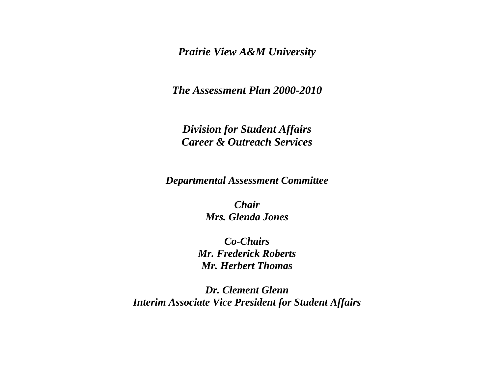*Prairie View A&M University* 

*The Assessment Plan 2000-2010* 

*Division for Student Affairs Career & Outreach Services* 

*Departmental Assessment Committee* 

*Chair Mrs. Glenda Jones* 

*Co-Chairs Mr. Frederick Roberts Mr. Herbert Thomas* 

*Dr. Clement Glenn Interim Associate Vice President for Student Affairs*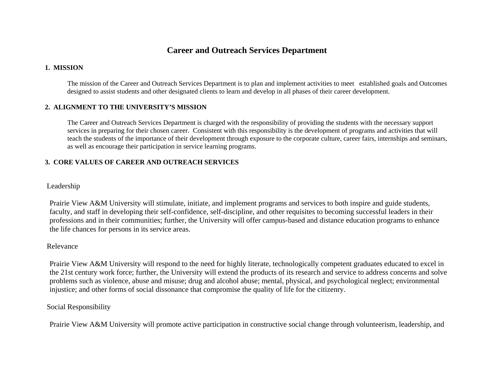# **Career and Outreach Services Department**

## **1. MISSION**

 The mission of the Career and Outreach Services Department is to plan and implement activities to meet established goals and Outcomes designed to assist students and other designated clients to learn and develop in all phases of their career development.

## **2. ALIGNMENT TO THE UNIVERSITY'S MISSION**

 The Career and Outreach Services Department is charged with the responsibility of providing the students with the necessary support services in preparing for their chosen career. Consistent with this responsibility is the development of programs and activities that will teach the students of the importance of their development through exposure to the corporate culture, career fairs, internships and seminars, as well as encourage their participation in service learning programs.

## **3. CORE VALUES OF CAREER AND OUTREACH SERVICES**

## Leadership

Prairie View A&M University will stimulate, initiate, and implement programs and services to both inspire and guide students, faculty, and staff in developing their self-confidence, self-discipline, and other requisites to becoming successful leaders in their professions and in their communities; further, the University will offer campus-based and distance education programs to enhance the life chances for persons in its service areas.

### Relevance

Prairie View A&M University will respond to the need for highly literate, technologically competent graduates educated to excel in the 21st century work force; further, the University will extend the products of its research and service to address concerns and solve problems such as violence, abuse and misuse; drug and alcohol abuse; mental, physical, and psychological neglect; environmental injustice; and other forms of social dissonance that compromise the quality of life for the citizenry.

## Social Responsibility

Prairie View A&M University will promote active participation in constructive social change through volunteerism, leadership, and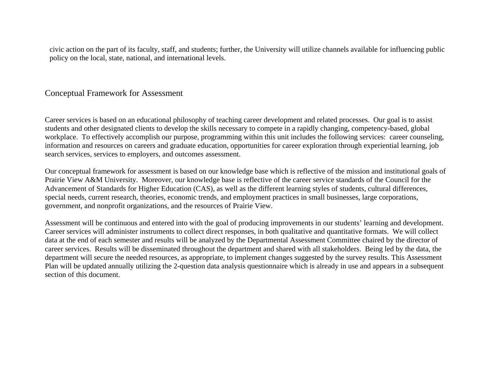civic action on the part of its faculty, staff, and students; further, the University will utilize channels available for influencing public policy on the local, state, national, and international levels.

# Conceptual Framework for Assessment

Career services is based on an educational philosophy of teaching career development and related processes. Our goal is to assist students and other designated clients to develop the skills necessary to compete in a rapidly changing, competency-based, global workplace. To effectively accomplish our purpose, programming within this unit includes the following services: career counseling, information and resources on careers and graduate education, opportunities for career exploration through experiential learning, job search services, services to employers, and outcomes assessment.

Our conceptual framework for assessment is based on our knowledge base which is reflective of the mission and institutional goals of Prairie View A&M University. Moreover, our knowledge base is reflective of the career service standards of the Council for the Advancement of Standards for Higher Education (CAS), as well as the different learning styles of students, cultural differences, special needs, current research, theories, economic trends, and employment practices in small businesses, large corporations, government, and nonprofit organizations, and the resources of Prairie View.

Assessment will be continuous and entered into with the goal of producing improvements in our students' learning and development. Career services will administer instruments to collect direct responses, in both qualitative and quantitative formats. We will collect data at the end of each semester and results will be analyzed by the Departmental Assessment Committee chaired by the director of career services. Results will be disseminated throughout the department and shared with all stakeholders. Being led by the data, the department will secure the needed resources, as appropriate, to implement changes suggested by the survey results. This Assessment Plan will be updated annually utilizing the 2-question data analysis questionnaire which is already in use and appears in a subsequent section of this document.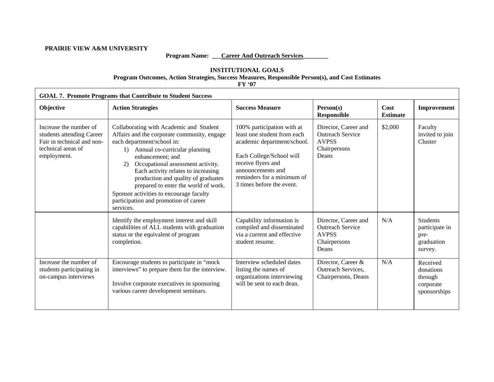#### **PRAIRIE VIEW A&M UNIVERSITY**

## Program Name: <u>Career And Outreach Services</u>

#### **INSTITUTIONAL GOALS Program Outcomes, Action Strategies, Success Measures, Responsible Person(s), and Cost Estimates**

**FY '07** 

| <b>GOAL 7. Promote Programs that Contribute to Student Success</b>                                                     |                                                                                                                                                                                                                                                                                                                                                                                                                                                   |                                                                                                                                                                                                                            |                                                                                          |                         |                                                               |  |  |
|------------------------------------------------------------------------------------------------------------------------|---------------------------------------------------------------------------------------------------------------------------------------------------------------------------------------------------------------------------------------------------------------------------------------------------------------------------------------------------------------------------------------------------------------------------------------------------|----------------------------------------------------------------------------------------------------------------------------------------------------------------------------------------------------------------------------|------------------------------------------------------------------------------------------|-------------------------|---------------------------------------------------------------|--|--|
| Objective                                                                                                              | <b>Action Strategies</b>                                                                                                                                                                                                                                                                                                                                                                                                                          | <b>Success Measure</b>                                                                                                                                                                                                     | Person(s)<br><b>Responsible</b>                                                          | Cost<br><b>Estimate</b> | Improvement                                                   |  |  |
| Increase the number of<br>students attending Career<br>Fair in technical and non-<br>technical areas of<br>employment. | Collaborating with Academic and Student<br>Affairs and the corporate community, engage<br>each department/school in:<br>Annual co-curricular planning<br>1)<br>enhancement; and<br>Occupational assessment activity.<br>2)<br>Each activity relates to increasing<br>production and quality of graduates<br>prepared to enter the world of work.<br>Sponsor activities to encourage faculty<br>participation and promotion of career<br>services. | 100% participation with at<br>least one student from each<br>academic department/school.<br>Each College/School will<br>receive flyers and<br>announcements and<br>reminders for a minimum of<br>3 times before the event. | Director, Career and<br><b>Outreach Service</b><br><b>AVPSS</b><br>Chairpersons<br>Deans | \$2,000                 | Faculty<br>invited to join<br>Cluster                         |  |  |
|                                                                                                                        | Identify the employment interest and skill<br>capabilities of ALL students with graduation<br>status or the equivalent of program<br>completion.                                                                                                                                                                                                                                                                                                  | Capability information is<br>compiled and disseminated<br>via a current and effective<br>student resume.                                                                                                                   | Director, Career and<br><b>Outreach Service</b><br><b>AVPSS</b><br>Chairpersons<br>Deans | N/A                     | Students<br>participate in<br>pre-<br>graduation<br>survey.   |  |  |
| Increase the number of<br>students participating in<br>on-campus interviews                                            | Encourage students to participate in "mock<br>interviews" to prepare them for the interview.<br>Involve corporate executives in sponsoring<br>various career development seminars.                                                                                                                                                                                                                                                                | Interview scheduled dates<br>listing the names of<br>organizations interviewing<br>will be sent to each dean.                                                                                                              | Director, Career &<br>Outreach Services,<br>Chairpersons, Deans                          | N/A                     | Received<br>donations<br>through<br>corporate<br>sponsorships |  |  |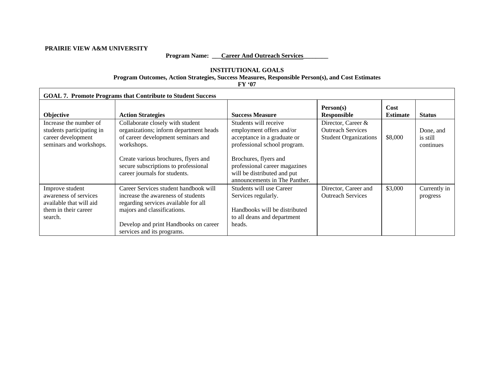#### **PRAIRIE VIEW A&M UNIVERSITY**

## Program Name: <u>Career And Outreach Services</u>

## **INSTITUTIONAL GOALS Program Outcomes, Action Strategies, Success Measures, Responsible Person(s), and Cost Estimates**

**FY '07**

| <b>GOAL 7. Promote Programs that Contribute to Student Success</b>                                     |                                                                                                                                                                                                                           |                                                                                                                           |                                                                                |                         |                                    |  |
|--------------------------------------------------------------------------------------------------------|---------------------------------------------------------------------------------------------------------------------------------------------------------------------------------------------------------------------------|---------------------------------------------------------------------------------------------------------------------------|--------------------------------------------------------------------------------|-------------------------|------------------------------------|--|
| <b>Objective</b>                                                                                       | <b>Action Strategies</b>                                                                                                                                                                                                  | <b>Success Measure</b>                                                                                                    | Person(s)<br><b>Responsible</b>                                                | Cost<br><b>Estimate</b> | <b>Status</b>                      |  |
| Increase the number of<br>students participating in<br>career development<br>seminars and workshops.   | Collaborate closely with student<br>organizations; inform department heads<br>of career development seminars and<br>workshops.                                                                                            | Students will receive<br>employment offers and/or<br>acceptance in a graduate or<br>professional school program.          | Director, Career &<br><b>Outreach Services</b><br><b>Student Organizations</b> | \$8,000                 | Done, and<br>is still<br>continues |  |
|                                                                                                        | Create various brochures, flyers and<br>secure subscriptions to professional<br>career journals for students.                                                                                                             | Brochures, flyers and<br>professional career magazines<br>will be distributed and put<br>announcements in The Panther.    |                                                                                |                         |                                    |  |
| Improve student<br>awareness of services<br>available that will aid<br>them in their career<br>search. | Career Services student handbook will<br>increase the awareness of students<br>regarding services available for all<br>majors and classifications.<br>Develop and print Handbooks on career<br>services and its programs. | Students will use Career<br>Services regularly.<br>Handbooks will be distributed<br>to all deans and department<br>heads. | Director, Career and<br><b>Outreach Services</b>                               | \$3,000                 | Currently in<br>progress           |  |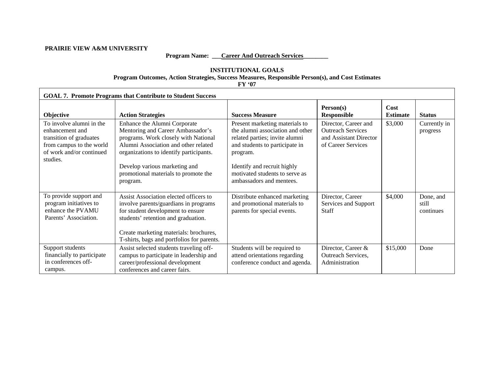#### **PRAIRIE VIEW A&M UNIVERSITY**

## Program Name: <u>Career And Outreach Services</u>

## **INSTITUTIONAL GOALS Program Outcomes, Action Strategies, Success Measures, Responsible Person(s), and Cost Estimates**

**FY '07**

| <b>GOAL 7. Promote Programs that Contribute to Student Success</b>                                                                         |                                                                                                                                                                                                                                                                                   |                                                                                                                                                                                                                                                 |                                                                                                  |                         |                                 |  |  |
|--------------------------------------------------------------------------------------------------------------------------------------------|-----------------------------------------------------------------------------------------------------------------------------------------------------------------------------------------------------------------------------------------------------------------------------------|-------------------------------------------------------------------------------------------------------------------------------------------------------------------------------------------------------------------------------------------------|--------------------------------------------------------------------------------------------------|-------------------------|---------------------------------|--|--|
| Objective                                                                                                                                  | <b>Action Strategies</b>                                                                                                                                                                                                                                                          | <b>Success Measure</b>                                                                                                                                                                                                                          | Person(s)<br><b>Responsible</b>                                                                  | Cost<br><b>Estimate</b> | <b>Status</b>                   |  |  |
| To involve alumni in the<br>enhancement and<br>transition of graduates<br>from campus to the world<br>of work and/or continued<br>studies. | Enhance the Alumni Corporate<br>Mentoring and Career Ambassador's<br>programs. Work closely with National<br>Alumni Association and other related<br>organizations to identify participants.<br>Develop various marketing and<br>promotional materials to promote the<br>program. | Present marketing materials to<br>the alumni association and other<br>related parties; invite alumni<br>and students to participate in<br>program.<br>Identify and recruit highly<br>motivated students to serve as<br>ambassadors and mentees. | Director, Career and<br><b>Outreach Services</b><br>and Assistant Director<br>of Career Services | \$3,000                 | Currently in<br>progress        |  |  |
| To provide support and<br>program initiatives to<br>enhance the PVAMU<br>Parents' Association.                                             | Assist Association elected officers to<br>involve parents/guardians in programs<br>for student development to ensure<br>students' retention and graduation.<br>Create marketing materials: brochures,<br>T-shirts, bags and portfolios for parents.                               | Distribute enhanced marketing<br>and promotional materials to<br>parents for special events.                                                                                                                                                    | Director, Career<br>Services and Support<br>Staff                                                | \$4,000                 | Done, and<br>still<br>continues |  |  |
| Support students<br>financially to participate<br>in conferences off-<br>campus.                                                           | Assist selected students traveling off-<br>campus to participate in leadership and<br>career/professional development<br>conferences and career fairs.                                                                                                                            | Students will be required to<br>attend orientations regarding<br>conference conduct and agenda.                                                                                                                                                 | Director, Career &<br>Outreach Services,<br>Administration                                       | \$15,000                | Done                            |  |  |